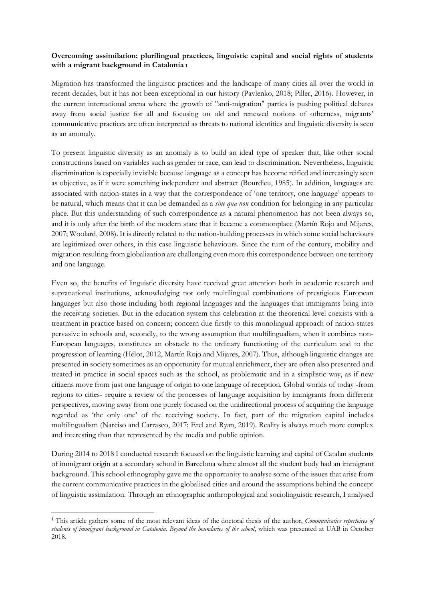## **Overcoming assimilation: plurilingual practices, linguistic capital and social rights of students with a migrant background in Catalonia <sup>1</sup>**

Migration has transformed the linguistic practices and the landscape of many cities all over the world in recent decades, but it has not been exceptional in our history (Pavlenko, 2018; Piller, 2016). However, in the current international arena where the growth of "anti-migration" parties is pushing political debates away from social justice for all and focusing on old and renewed notions of otherness, migrants' communicative practices are often interpreted as threats to national identities and linguistic diversity is seen as an anomaly.

To present linguistic diversity as an anomaly is to build an ideal type of speaker that, like other social constructions based on variables such as gender or race, can lead to discrimination. Nevertheless, linguistic discrimination is especially invisible because language as a concept has become reified and increasingly seen as objective, as if it were something independent and abstract (Bourdieu, 1985). In addition, languages are associated with nation-states in a way that the correspondence of 'one territory, one language' appears to be natural, which means that it can be demanded as a *sine qua non* condition for belonging in any particular place. But this understanding of such correspondence as a natural phenomenon has not been always so, and it is only after the birth of the modern state that it became a commonplace (Martín Rojo and Mijares, 2007; Woolard, 2008). It is directly related to the nation-building processes in which some social behaviours are legitimized over others, in this case linguistic behaviours. Since the turn of the century, mobility and migration resulting from globalization are challenging even more this correspondence between one territory and one language.

Even so, the benefits of linguistic diversity have received great attention both in academic research and supranational institutions, acknowledging not only multilingual combinations of prestigious European languages but also those including both regional languages and the languages that immigrants bring into the receiving societies. But in the education system this celebration at the theoretical level coexists with a treatment in practice based on concern; concern due firstly to this monolingual approach of nation-states pervasive in schools and, secondly, to the wrong assumption that multilingualism, when it combines non-European languages, constitutes an obstacle to the ordinary functioning of the curriculum and to the progression of learning (Hélot, 2012, Martín Rojo and Mijares, 2007). Thus, although linguistic changes are presented in society sometimes as an opportunity for mutual enrichment, they are often also presented and treated in practice in social spaces such as the school, as problematic and in a simplistic way, as if new citizens move from just one language of origin to one language of reception. Global worlds of today -from regions to cities- require a review of the processes of language acquisition by immigrants from different perspectives, moving away from one purely focused on the unidirectional process of acquiring the language regarded as 'the only one' of the receiving society. In fact, part of the migration capital includes multilingualism (Narciso and Carrasco, 2017; Erel and Ryan, 2019). Reality is always much more complex and interesting than that represented by the media and public opinion.

During 2014 to 2018 I conducted research focused on the linguistic learning and capital of Catalan students of immigrant origin at a secondary school in Barcelona where almost all the student body had an immigrant background. This school ethnography gave me the opportunity to analyse some of the issues that arise from the current communicative practices in the globalised cities and around the assumptions behind the concept of linguistic assimilation. Through an ethnographic anthropological and sociolinguistic research, I analysed

<sup>1</sup> This article gathers some of the most relevant ideas of the doctoral thesis of the author, *Communicative repertoires of students of immigrant background in Catalonia. Beyond the boundaries of the school*, which was presented at UAB in October 2018.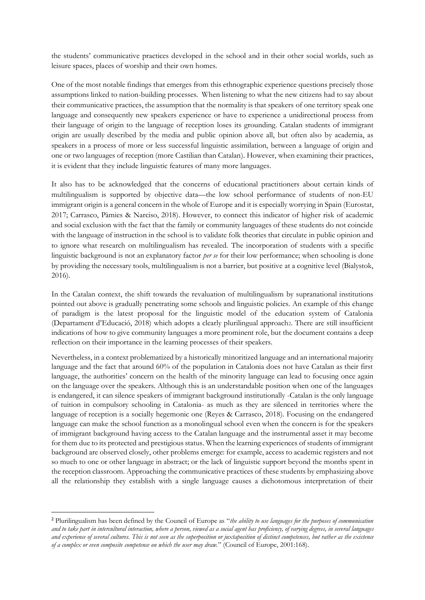the students' communicative practices developed in the school and in their other social worlds, such as leisure spaces, places of worship and their own homes.

One of the most notable findings that emerges from this ethnographic experience questions precisely those assumptions linked to nation-building processes. When listening to what the new citizens had to say about their communicative practices, the assumption that the normality is that speakers of one territory speak one language and consequently new speakers experience or have to experience a unidirectional process from their language of origin to the language of reception loses its grounding. Catalan students of immigrant origin are usually described by the media and public opinion above all, but often also by academia, as speakers in a process of more or less successful linguistic assimilation, between a language of origin and one or two languages of reception (more Castilian than Catalan). However, when examining their practices, it is evident that they include linguistic features of many more languages.

It also has to be acknowledged that the concerns of educational practitioners about certain kinds of multilingualism is supported by objective data—the low school performance of students of non-EU immigrant origin is a general concern in the whole of Europe and it is especially worrying in Spain (Eurostat, 2017; Carrasco, Pàmies & Narciso, 2018). However, to connect this indicator of higher risk of academic and social exclusion with the fact that the family or community languages of these students do not coincide with the language of instruction in the school is to validate folk theories that circulate in public opinion and to ignore what research on multilingualism has revealed. The incorporation of students with a specific linguistic background is not an explanatory factor *per se* for their low performance; when schooling is done by providing the necessary tools, multilingualism is not a barrier, but positive at a cognitive level (Bialystok, 2016).

In the Catalan context, the shift towards the revaluation of multilingualism by supranational institutions pointed out above is gradually penetrating some schools and linguistic policies. An example of this change of paradigm is the latest proposal for the linguistic model of the education system of Catalonia (Departament d'Educació, 2018) which adopts a clearly plurilingual approach2. There are still insufficient indications of how to give community languages a more prominent role, but the document contains a deep reflection on their importance in the learning processes of their speakers.

Nevertheless, in a context problematized by a historically minoritized language and an international majority language and the fact that around 60% of the population in Catalonia does not have Catalan as their first language, the authorities' concern on the health of the minority language can lead to focusing once again on the language over the speakers. Although this is an understandable position when one of the languages is endangered, it can silence speakers of immigrant background institutionally -Catalan is the only language of tuition in compulsory schooling in Catalonia- as much as they are silenced in territories where the language of reception is a socially hegemonic one (Reyes & Carrasco, 2018). Focusing on the endangered language can make the school function as a monolingual school even when the concern is for the speakers of immigrant background having access to the Catalan language and the instrumental asset it may become for them due to its protected and prestigious status. When the learning experiences of students of immigrant background are observed closely, other problems emerge: for example, access to academic registers and not so much to one or other language in abstract; or the lack of linguistic support beyond the months spent in the reception classroom. Approaching the communicative practices of these students by emphasizing above all the relationship they establish with a single language causes a dichotomous interpretation of their

<sup>2</sup> Plurilingualism has been defined by the Council of Europe as "*the ability to use languages for the purposes of communication and to take part in intercultural interaction, where a person, viewed as a social agent has proficiency, of varying degrees, in several languages and experience of several cultures. This is not seen as the superposition or juxtaposition of distinct competences, but rather as the existence of a complex or even composite competence on which the user may draw.*" (Council of Europe, 2001:168).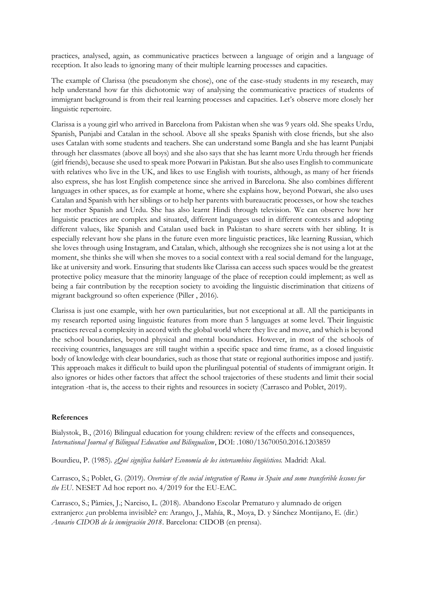practices, analysed, again, as communicative practices between a language of origin and a language of reception. It also leads to ignoring many of their multiple learning processes and capacities.

The example of Clarissa (the pseudonym she chose), one of the case-study students in my research, may help understand how far this dichotomic way of analysing the communicative practices of students of immigrant background is from their real learning processes and capacities. Let's observe more closely her linguistic repertoire.

Clarissa is a young girl who arrived in Barcelona from Pakistan when she was 9 years old. She speaks Urdu, Spanish, Punjabi and Catalan in the school. Above all she speaks Spanish with close friends, but she also uses Catalan with some students and teachers. She can understand some Bangla and she has learnt Punjabi through her classmates (above all boys) and she also says that she has learnt more Urdu through her friends (girl friends), because she used to speak more Potwari in Pakistan. But she also uses English to communicate with relatives who live in the UK, and likes to use English with tourists, although, as many of her friends also express, she has lost English competence since she arrived in Barcelona. She also combines different languages in other spaces, as for example at home, where she explains how, beyond Potwari, she also uses Catalan and Spanish with her siblings or to help her parents with bureaucratic processes, or how she teaches her mother Spanish and Urdu. She has also learnt Hindi through television. We can observe how her linguistic practices are complex and situated, different languages used in different contexts and adopting different values, like Spanish and Catalan used back in Pakistan to share secrets with her sibling. It is especially relevant how she plans in the future even more linguistic practices, like learning Russian, which she loves through using Instagram, and Catalan, which, although she recognizes she is not using a lot at the moment, she thinks she will when she moves to a social context with a real social demand for the language, like at university and work. Ensuring that students like Clarissa can access such spaces would be the greatest protective policy measure that the minority language of the place of reception could implement; as well as being a fair contribution by the reception society to avoiding the linguistic discrimination that citizens of migrant background so often experience (Piller , 2016).

Clarissa is just one example, with her own particularities, but not exceptional at all. All the participants in my research reported using linguistic features from more than 5 languages at some level. Their linguistic practices reveal a complexity in accord with the global world where they live and move, and which is beyond the school boundaries, beyond physical and mental boundaries. However, in most of the schools of receiving countries, languages are still taught within a specific space and time frame, as a closed linguistic body of knowledge with clear boundaries, such as those that state or regional authorities impose and justify. This approach makes it difficult to build upon the plurilingual potential of students of immigrant origin. It also ignores or hides other factors that affect the school trajectories of these students and limit their social integration -that is, the access to their rights and resources in society (Carrasco and Poblet, 2019).

## **References**

Bialystok, B., (2016) Bilingual education for young children: review of the effects and consequences, *International Journal of Bilingual Education and Bilingualism*, DOI: .1080/13670050.2016.1203859

Bourdieu, P. (1985). *¿Qué significa hablar? Economía de los intercambios lingüísticos.* Madrid: Akal.

Carrasco, S.; Poblet, G. (2019). *Overview of the social integration of Roma in Spain and some transferible lessons for the EU*. NESET Ad hoc report no. 4/2019 for the EU-EAC.

Carrasco, S.; Pàmies, J.; Narciso, L. (2018). Abandono Escolar Prematuro y alumnado de origen extranjero: ¿un problema invisible? en: Arango, J., Mahía, R., Moya, D. y Sánchez Montijano, E. (dir.) *Anuario CIDOB de la inmigración 2018*. Barcelona: CIDOB (en prensa).